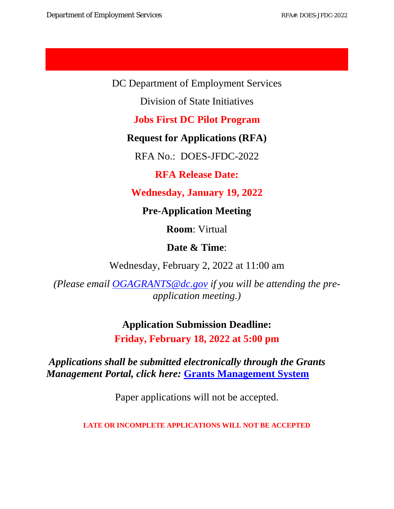DC Department of Employment Services

Division of State Initiatives

**Jobs First DC Pilot Program**

**Request for Applications (RFA)**

RFA No.: DOES-JFDC-2022

**RFA Release Date:** 

**Wednesday, January 19, 2022**

**Pre-Application Meeting**

**Room**: Virtual

**Date & Time**:

Wednesday, February 2, 2022 at 11:00 am

*(Please email [OGAGRANTS@dc.gov](mailto:OGAGRANTS@dc.gov) if you will be attending the preapplication meeting.)*

> **Application Submission Deadline: Friday, February 18, 2022 at 5:00 pm**

*Applications shall be submitted electronically through the Grants Management Portal, click here:* **[Grants Management System](https://jlweb.co/prod1/portal/portal.jsp?c=66176630&p=66183389&g=66183409)**

Paper applications will not be accepted.

**LATE OR INCOMPLETE APPLICATIONS WILL NOT BE ACCEPTED**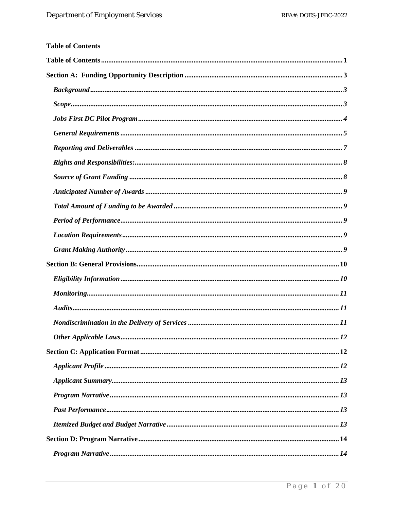<span id="page-1-0"></span>

| <b>Table of Contents</b> |
|--------------------------|
|                          |
|                          |
|                          |
|                          |
|                          |
|                          |
|                          |
|                          |
|                          |
|                          |
|                          |
|                          |
|                          |
|                          |
|                          |
|                          |
|                          |
|                          |
|                          |
|                          |
|                          |
|                          |
|                          |
|                          |
|                          |
|                          |
|                          |
|                          |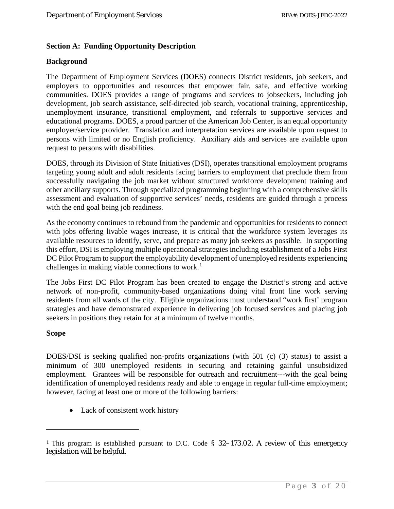## <span id="page-3-0"></span>**Section A: Funding Opportunity Description**

## <span id="page-3-1"></span>**Background**

The Department of Employment Services (DOES) connects District residents, job seekers, and employers to opportunities and resources that empower fair, safe, and effective working communities. DOES provides a range of programs and services to jobseekers, including job development, job search assistance, self-directed job search, vocational training, apprenticeship, unemployment insurance, transitional employment, and referrals to supportive services and educational programs. DOES, a proud partner of the American Job Center, is an equal opportunity employer/service provider. Translation and interpretation services are available upon request to persons with limited or no English proficiency. Auxiliary aids and services are available upon request to persons with disabilities.

DOES, through its Division of State Initiatives (DSI), operates transitional employment programs targeting young adult and adult residents facing barriers to employment that preclude them from successfully navigating the job market without structured workforce development training and other ancillary supports. Through specialized programming beginning with a comprehensive skills assessment and evaluation of supportive services' needs, residents are guided through a process with the end goal being job readiness.

As the economy continues to rebound from the pandemic and opportunities for residents to connect with jobs offering livable wages increase, it is critical that the workforce system leverages its available resources to identify, serve, and prepare as many job seekers as possible. In supporting this effort, DSI is employing multiple operational strategies including establishment of a Jobs First DC Pilot Program to support the employability development of unemployed residents experiencing challenges in making viable connections to work.<sup>[1](#page-3-3)</sup>

The Jobs First DC Pilot Program has been created to engage the District's strong and active network of non-profit, community-based organizations doing vital front line work serving residents from all wards of the city. Eligible organizations must understand "work first' program strategies and have demonstrated experience in delivering job focused services and placing job seekers in positions they retain for at a minimum of twelve months.

#### <span id="page-3-2"></span>**Scope**

DOES/DSI is seeking qualified non-profits organizations (with 501 (c) (3) status) to assist a minimum of 300 unemployed residents in securing and retaining gainful unsubsidized employment. Grantees will be responsible for outreach and recruitment---with the goal being identification of unemployed residents ready and able to engage in regular full-time employment; however, facing at least one or more of the following barriers:

• Lack of consistent work history

<span id="page-3-3"></span><sup>&</sup>lt;sup>1</sup> This program is established pursuant to D.C. Code § 32–173.02. A review of this emergency legislation will be helpful.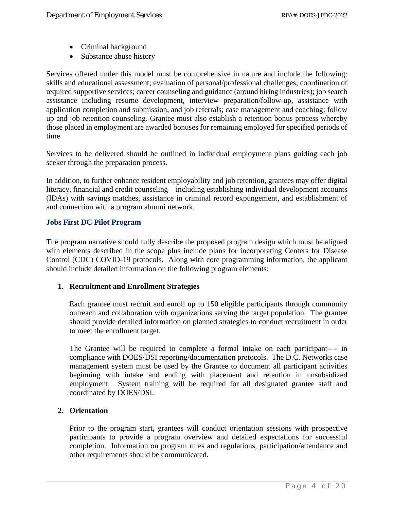- Criminal background
- Substance abuse history

Services offered under this model must be comprehensive in nature and include the following: skills and educational assessment; evaluation of personal/professional challenges; coordination of required supportive services; career counseling and guidance (around hiring industries); job search assistance including resume development, interview preparation/follow-up, assistance with application completion and submission, and job referrals; case management and coaching; follow up and job retention counseling. Grantee must also establish a retention bonus process whereby those placed in employment are awarded bonuses for remaining employed for specified periods of time

Services to be delivered should be outlined in individual employment plans guiding each job seeker through the preparation process.

In addition, to further enhance resident employability and job retention, grantees may offer digital literacy, financial and credit counseling—including establishing individual development accounts (IDAs) with savings matches, assistance in criminal record expungement, and establishment of and connection with a program alumni network.

## <span id="page-4-0"></span>**Jobs First DC Pilot Program**

The program narrative should fully describe the proposed program design which must be aligned with elements described in the scope plus include plans for incorporating Centers for Disease Control (CDC) COVID-19 protocols. Along with core programming information, the applicant should include detailed information on the following program elements:

#### **1. Recruitment and Enrollment Strategies**

Each grantee must recruit and enroll up to 150 eligible participants through community outreach and collaboration with organizations serving the target population. The grantee should provide detailed information on planned strategies to conduct recruitment in order to meet the enrollment target.

The Grantee will be required to complete a formal intake on each participant---- in compliance with DOES/DSI reporting/documentation protocols. The D.C. Networks case management system must be used by the Grantee to document all participant activities beginning with intake and ending with placement and retention in unsubsidized employment. System training will be required for all designated grantee staff and coordinated by DOES/DSI.

## **2. Orientation**

Prior to the program start, grantees will conduct orientation sessions with prospective participants to provide a program overview and detailed expectations for successful completion. Information on program rules and regulations, participation/attendance and other requirements should be communicated.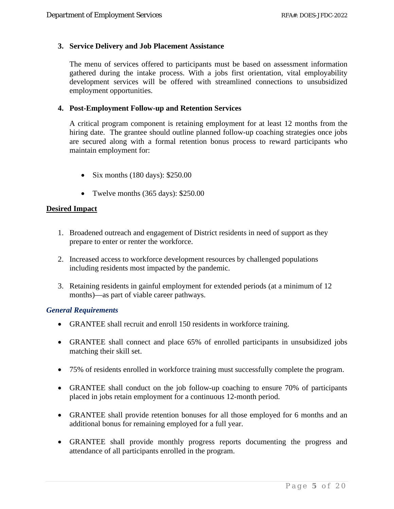## **3. Service Delivery and Job Placement Assistance**

The menu of services offered to participants must be based on assessment information gathered during the intake process. With a jobs first orientation, vital employability development services will be offered with streamlined connections to unsubsidized employment opportunities.

## **4. Post-Employment Follow-up and Retention Services**

A critical program component is retaining employment for at least 12 months from the hiring date. The grantee should outline planned follow-up coaching strategies once jobs are secured along with a formal retention bonus process to reward participants who maintain employment for:

- Six months  $(180 \text{ days})$ : \$250.00
- Twelve months (365 days): \$250.00

## **Desired Impact**

- 1. Broadened outreach and engagement of District residents in need of support as they prepare to enter or renter the workforce.
- 2. Increased access to workforce development resources by challenged populations including residents most impacted by the pandemic.
- 3. Retaining residents in gainful employment for extended periods (at a minimum of 12 months)—as part of viable career pathways.

#### <span id="page-5-0"></span>*General Requirements*

- GRANTEE shall recruit and enroll 150 residents in workforce training.
- GRANTEE shall connect and place 65% of enrolled participants in unsubsidized jobs matching their skill set.
- 75% of residents enrolled in workforce training must successfully complete the program.
- GRANTEE shall conduct on the job follow-up coaching to ensure 70% of participants placed in jobs retain employment for a continuous 12-month period.
- GRANTEE shall provide retention bonuses for all those employed for 6 months and an additional bonus for remaining employed for a full year.
- GRANTEE shall provide monthly progress reports documenting the progress and attendance of all participants enrolled in the program.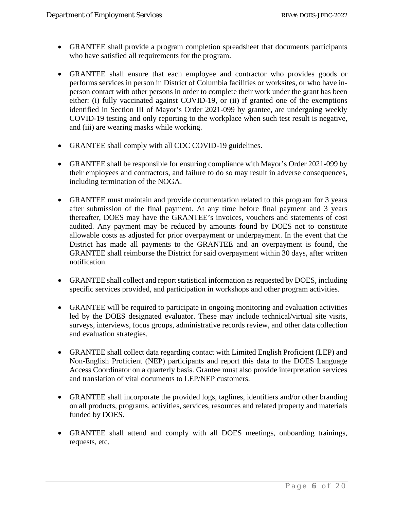- GRANTEE shall provide a program completion spreadsheet that documents participants who have satisfied all requirements for the program.
- GRANTEE shall ensure that each employee and contractor who provides goods or performs services in person in District of Columbia facilities or worksites, or who have inperson contact with other persons in order to complete their work under the grant has been either: (i) fully vaccinated against COVID-19, or (ii) if granted one of the exemptions identified in Section III of Mayor's Order 2021-099 by grantee, are undergoing weekly COVID-19 testing and only reporting to the workplace when such test result is negative, and (iii) are wearing masks while working.
- GRANTEE shall comply with all CDC COVID-19 guidelines.
- GRANTEE shall be responsible for ensuring compliance with Mayor's Order 2021-099 by their employees and contractors, and failure to do so may result in adverse consequences, including termination of the NOGA.
- GRANTEE must maintain and provide documentation related to this program for 3 years after submission of the final payment. At any time before final payment and 3 years thereafter, DOES may have the GRANTEE's invoices, vouchers and statements of cost audited. Any payment may be reduced by amounts found by DOES not to constitute allowable costs as adjusted for prior overpayment or underpayment. In the event that the District has made all payments to the GRANTEE and an overpayment is found, the GRANTEE shall reimburse the District for said overpayment within 30 days, after written notification.
- GRANTEE shall collect and report statistical information as requested by DOES, including specific services provided, and participation in workshops and other program activities.
- GRANTEE will be required to participate in ongoing monitoring and evaluation activities led by the DOES designated evaluator. These may include technical/virtual site visits, surveys, interviews, focus groups, administrative records review, and other data collection and evaluation strategies.
- GRANTEE shall collect data regarding contact with Limited English Proficient (LEP) and Non-English Proficient (NEP) participants and report this data to the DOES Language Access Coordinator on a quarterly basis. Grantee must also provide interpretation services and translation of vital documents to LEP/NEP customers.
- GRANTEE shall incorporate the provided logs, taglines, identifiers and/or other branding on all products, programs, activities, services, resources and related property and materials funded by DOES.
- GRANTEE shall attend and comply with all DOES meetings, onboarding trainings, requests, etc.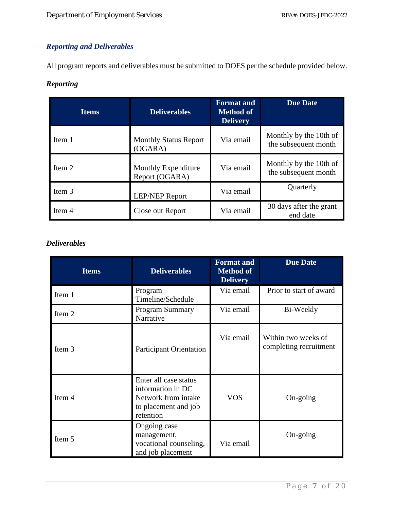# <span id="page-7-0"></span>*Reporting and Deliverables*

All program reports and deliverables must be submitted to DOES per the schedule provided below.

## *Reporting*

| <b>Items</b> | <b>Deliverables</b>                     | <b>Format and</b><br><b>Method of</b><br><b>Delivery</b> | <b>Due Date</b>                                |
|--------------|-----------------------------------------|----------------------------------------------------------|------------------------------------------------|
| Item 1       | <b>Monthly Status Report</b><br>(OGARA) | Via email                                                | Monthly by the 10th of<br>the subsequent month |
| Item 2       | Monthly Expenditure<br>Report (OGARA)   | Via email                                                | Monthly by the 10th of<br>the subsequent month |
| Item 3       | <b>LEP/NEP Report</b>                   | Via email                                                | Quarterly                                      |
| Item 4       | Close out Report                        | Via email                                                | 30 days after the grant<br>end date            |

## *Deliverables*

| <b>Items</b>                                                                                                                   | <b>Deliverables</b>                                                        | <b>Format and</b><br><b>Method of</b><br><b>Delivery</b> | <b>Due Date</b>                               |
|--------------------------------------------------------------------------------------------------------------------------------|----------------------------------------------------------------------------|----------------------------------------------------------|-----------------------------------------------|
| Item 1                                                                                                                         | Program<br>Timeline/Schedule                                               | Via email                                                | Prior to start of award                       |
| Item 2                                                                                                                         | Program Summary<br>Narrative                                               | Via email                                                | Bi-Weekly                                     |
| Item 3                                                                                                                         | <b>Participant Orientation</b>                                             | Via email                                                | Within two weeks of<br>completing recruitment |
| Enter all case status<br>information in DC<br>Item 4<br>Network from intake<br><b>VOS</b><br>to placement and job<br>retention |                                                                            | On-going                                                 |                                               |
| Item 5                                                                                                                         | Ongoing case<br>management,<br>vocational counseling,<br>and job placement | Via email                                                | On-going                                      |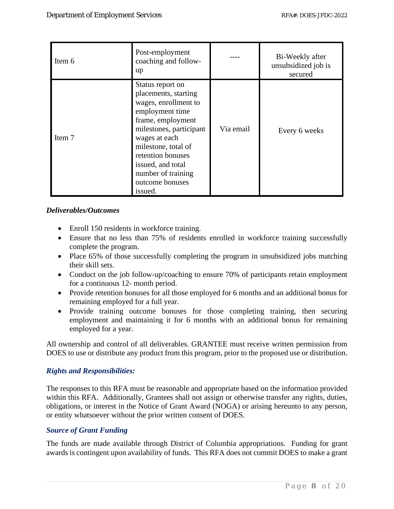| Item 6 | Post-employment<br>coaching and follow-<br>up                                                                                                                                                                                                                             |           | Bi-Weekly after<br>unsubsidized job is<br>secured |
|--------|---------------------------------------------------------------------------------------------------------------------------------------------------------------------------------------------------------------------------------------------------------------------------|-----------|---------------------------------------------------|
| Item 7 | Status report on<br>placements, starting<br>wages, enrollment to<br>employment time<br>frame, employment<br>milestones, participant<br>wages at each<br>milestone, total of<br>retention bonuses<br>issued, and total<br>number of training<br>outcome bonuses<br>issued. | Via email | Every 6 weeks                                     |

## *Deliverables/Outcomes*

- Enroll 150 residents in workforce training.
- Ensure that no less than 75% of residents enrolled in workforce training successfully complete the program.
- Place 65% of those successfully completing the program in unsubsidized jobs matching their skill sets.
- Conduct on the job follow-up/coaching to ensure 70% of participants retain employment for a continuous 12- month period.
- Provide retention bonuses for all those employed for 6 months and an additional bonus for remaining employed for a full year.
- Provide training outcome bonuses for those completing training, then securing employment and maintaining it for 6 months with an additional bonus for remaining employed for a year.

All ownership and control of all deliverables. GRANTEE must receive written permission from DOES to use or distribute any product from this program, prior to the proposed use or distribution.

#### <span id="page-8-0"></span>*Rights and Responsibilities:*

The responses to this RFA must be reasonable and appropriate based on the information provided within this RFA. Additionally, Grantees shall not assign or otherwise transfer any rights, duties, obligations, or interest in the Notice of Grant Award (NOGA) or arising hereunto to any person, or entity whatsoever without the prior written consent of DOES.

## <span id="page-8-1"></span>*Source of Grant Funding*

The funds are made available through District of Columbia appropriations. Funding for grant awards is contingent upon availability of funds. This RFA does not commit DOES to make a grant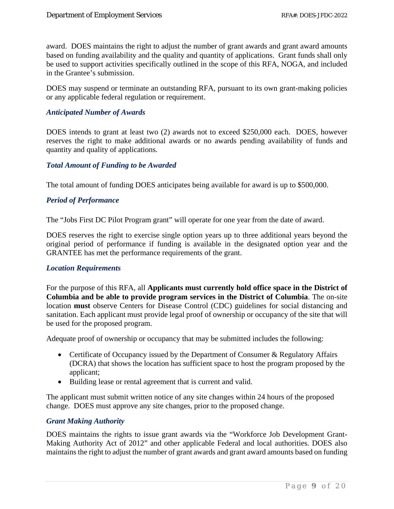award. DOES maintains the right to adjust the number of grant awards and grant award amounts based on funding availability and the quality and quantity of applications. Grant funds shall only be used to support activities specifically outlined in the scope of this RFA, NOGA, and included in the Grantee's submission.

DOES may suspend or terminate an outstanding RFA, pursuant to its own grant-making policies or any applicable federal regulation or requirement.

#### <span id="page-9-0"></span>*Anticipated Number of Awards*

DOES intends to grant at least two (2) awards not to exceed \$250,000 each. DOES, however reserves the right to make additional awards or no awards pending availability of funds and quantity and quality of applications.

#### <span id="page-9-1"></span>*Total Amount of Funding to be Awarded*

<span id="page-9-2"></span>The total amount of funding DOES anticipates being available for award is up to \$500,000.

## *Period of Performance*

The "Jobs First DC Pilot Program grant" will operate for one year from the date of award.

DOES reserves the right to exercise single option years up to three additional years beyond the original period of performance if funding is available in the designated option year and the GRANTEE has met the performance requirements of the grant.

#### <span id="page-9-3"></span>*Location Requirements*

For the purpose of this RFA, all **Applicants must currently hold office space in the District of Columbia and be able to provide program services in the District of Columbia**. The on-site location **must** observe Centers for Disease Control (CDC) guidelines for social distancing and sanitation. Each applicant must provide legal proof of ownership or occupancy of the site that will be used for the proposed program.

Adequate proof of ownership or occupancy that may be submitted includes the following:

- Certificate of Occupancy issued by the Department of Consumer & Regulatory Affairs (DCRA) that shows the location has sufficient space to host the program proposed by the applicant;
- Building lease or rental agreement that is current and valid.

The applicant must submit written notice of any site changes within 24 hours of the proposed change. DOES must approve any site changes, prior to the proposed change.

#### <span id="page-9-4"></span>*Grant Making Authority*

DOES maintains the rights to issue grant awards via the "Workforce Job Development Grant-Making Authority Act of 2012" and other applicable Federal and local authorities. DOES also maintains the right to adjust the number of grant awards and grant award amounts based on funding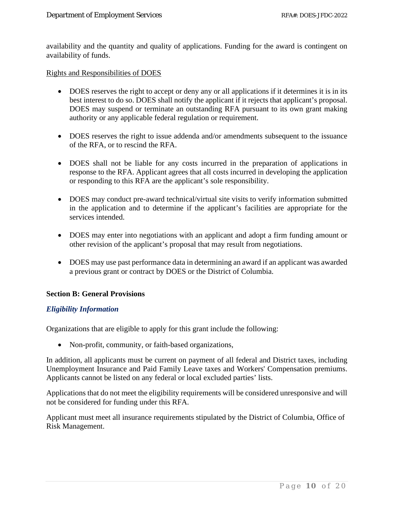availability and the quantity and quality of applications. Funding for the award is contingent on availability of funds.

Rights and Responsibilities of DOES

- DOES reserves the right to accept or deny any or all applications if it determines it is in its best interest to do so. DOES shall notify the applicant if it rejects that applicant's proposal. DOES may suspend or terminate an outstanding RFA pursuant to its own grant making authority or any applicable federal regulation or requirement.
- DOES reserves the right to issue addenda and/or amendments subsequent to the issuance of the RFA, or to rescind the RFA.
- DOES shall not be liable for any costs incurred in the preparation of applications in response to the RFA. Applicant agrees that all costs incurred in developing the application or responding to this RFA are the applicant's sole responsibility.
- DOES may conduct pre-award technical/virtual site visits to verify information submitted in the application and to determine if the applicant's facilities are appropriate for the services intended.
- DOES may enter into negotiations with an applicant and adopt a firm funding amount or other revision of the applicant's proposal that may result from negotiations.
- DOES may use past performance data in determining an award if an applicant was awarded a previous grant or contract by DOES or the District of Columbia.

#### <span id="page-10-0"></span>**Section B: General Provisions**

#### <span id="page-10-1"></span>*Eligibility Information*

Organizations that are eligible to apply for this grant include the following:

• Non-profit, community, or faith-based organizations,

In addition, all applicants must be current on payment of all federal and District taxes, including Unemployment Insurance and Paid Family Leave taxes and Workers' Compensation premiums. Applicants cannot be listed on any federal or local excluded parties' lists.

Applications that do not meet the eligibility requirements will be considered unresponsive and will not be considered for funding under this RFA.

Applicant must meet all insurance requirements stipulated by the District of Columbia, Office of Risk Management.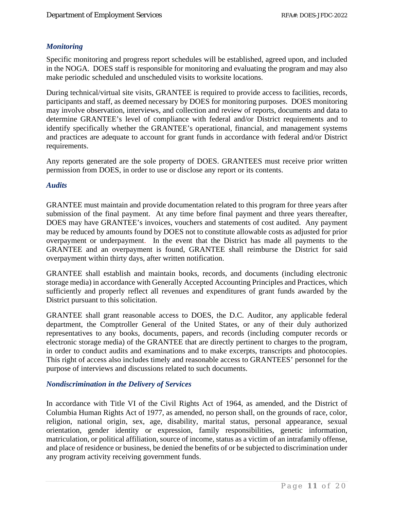## <span id="page-11-0"></span>*Monitoring*

Specific monitoring and progress report schedules will be established, agreed upon, and included in the NOGA. DOES staff is responsible for monitoring and evaluating the program and may also make periodic scheduled and unscheduled visits to worksite locations.

During technical/virtual site visits, GRANTEE is required to provide access to facilities, records, participants and staff, as deemed necessary by DOES for monitoring purposes. DOES monitoring may involve observation, interviews, and collection and review of reports, documents and data to determine GRANTEE's level of compliance with federal and/or District requirements and to identify specifically whether the GRANTEE's operational, financial, and management systems and practices are adequate to account for grant funds in accordance with federal and/or District requirements.

Any reports generated are the sole property of DOES. GRANTEES must receive prior written permission from DOES, in order to use or disclose any report or its contents.

#### <span id="page-11-1"></span>*Audits*

GRANTEE must maintain and provide documentation related to this program for three years after submission of the final payment. At any time before final payment and three years thereafter, DOES may have GRANTEE's invoices, vouchers and statements of cost audited. Any payment may be reduced by amounts found by DOES not to constitute allowable costs as adjusted for prior overpayment or underpayment. In the event that the District has made all payments to the GRANTEE and an overpayment is found, GRANTEE shall reimburse the District for said overpayment within thirty days, after written notification.

GRANTEE shall establish and maintain books, records, and documents (including electronic storage media) in accordance with Generally Accepted Accounting Principles and Practices, which sufficiently and properly reflect all revenues and expenditures of grant funds awarded by the District pursuant to this solicitation.

GRANTEE shall grant reasonable access to DOES, the D.C. Auditor, any applicable federal department, the Comptroller General of the United States, or any of their duly authorized representatives to any books, documents, papers, and records (including computer records or electronic storage media) of the GRANTEE that are directly pertinent to charges to the program, in order to conduct audits and examinations and to make excerpts, transcripts and photocopies. This right of access also includes timely and reasonable access to GRANTEES' personnel for the purpose of interviews and discussions related to such documents.

#### <span id="page-11-2"></span>*Nondiscrimination in the Delivery of Services*

In accordance with Title VI of the Civil Rights Act of 1964, as amended, and the District of Columbia Human Rights Act of 1977, as amended, no person shall, on the grounds of race, color, religion, national origin, sex, age, disability, marital status, personal appearance, sexual orientation, gender identity or expression, family responsibilities, genetic information, matriculation, or political affiliation, source of income, status as a victim of an intrafamily offense, and place of residence or business, be denied the benefits of or be subjected to discrimination under any program activity receiving government funds.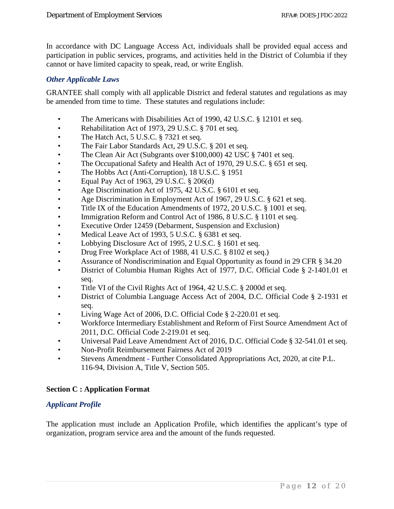In accordance with DC Language Access Act, individuals shall be provided equal access and participation in public services, programs, and activities held in the District of Columbia if they cannot or have limited capacity to speak, read, or write English.

## <span id="page-12-0"></span>*Other Applicable Laws*

GRANTEE shall comply with all applicable District and federal statutes and regulations as may be amended from time to time. These statutes and regulations include:

- The Americans with Disabilities Act of 1990, 42 U.S.C. § 12101 et seq.
- Rehabilitation Act of 1973, 29 U.S.C. § 701 et seq.
- The Hatch Act, 5 U.S.C. § 7321 et seq.
- The Fair Labor Standards Act, 29 U.S.C. § 201 et seq.
- The Clean Air Act (Subgrants over \$100,000) 42 USC § 7401 et seq.
- The Occupational Safety and Health Act of 1970, 29 U.S.C. § 651 et seq.
- The Hobbs Act (Anti-Corruption), 18 U.S.C. § 1951
- Equal Pay Act of 1963, 29 U.S.C.  $\S 206(d)$
- Age Discrimination Act of 1975, 42 U.S.C. § 6101 et seq.
- Age Discrimination in Employment Act of 1967, 29 U.S.C. § 621 et seq.
- Title IX of the Education Amendments of 1972, 20 U.S.C. § 1001 et seq.
- Immigration Reform and Control Act of 1986, 8 U.S.C. § 1101 et seq.
- Executive Order 12459 (Debarment, Suspension and Exclusion)
- Medical Leave Act of 1993, 5 U.S.C. § 6381 et seq.
- Lobbying Disclosure Act of 1995, 2 U.S.C. § 1601 et seq.
- Drug Free Workplace Act of 1988, 41 U.S.C. § 8102 et seq.)
- Assurance of Nondiscrimination and Equal Opportunity as found in 29 CFR § 34.20
- District of Columbia Human Rights Act of 1977, D.C. Official Code § 2-1401.01 et seq.
- Title VI of the Civil Rights Act of 1964, 42 U.S.C. § 2000d et seq.
- District of Columbia Language Access Act of 2004, D.C. Official Code § 2-1931 et seq.
- Living Wage Act of 2006, D.C. Official Code § 2-220.01 et seq.
- Workforce Intermediary Establishment and Reform of First Source Amendment Act of 2011, D.C. Official Code 2-219.01 et seq.
- Universal Paid Leave Amendment Act of 2016, D.C. Official Code § 32-541.01 et seq.
- Non-Profit Reimbursement Fairness Act of 2019
- Stevens Amendment Further Consolidated Appropriations Act, 2020, at cite P.L. 116-94, Division A, Title V, Section 505.

#### <span id="page-12-1"></span>**Section C : Application Format**

## <span id="page-12-2"></span>*Applicant Profile*

The application must include an Application Profile, which identifies the applicant's type of organization, program service area and the amount of the funds requested.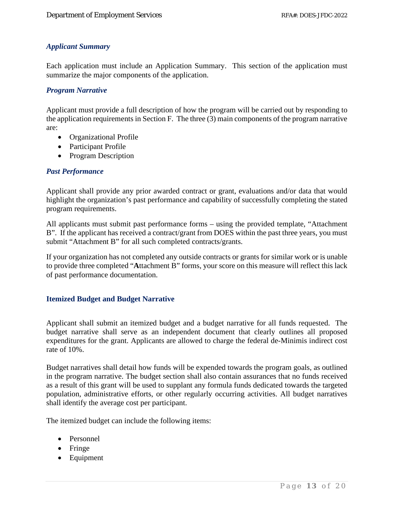## <span id="page-13-0"></span>*Applicant Summary*

Each application must include an Application Summary. This section of the application must summarize the major components of the application.

## <span id="page-13-1"></span>*Program Narrative*

Applicant must provide a full description of how the program will be carried out by responding to the application requirements in Section F. The three (3) main components of the program narrative are:

- Organizational Profile
- Participant Profile
- Program Description

## <span id="page-13-2"></span>*Past Performance*

Applicant shall provide any prior awarded contract or grant, evaluations and/or data that would highlight the organization's past performance and capability of successfully completing the stated program requirements.

All applicants must submit past performance forms – using the provided template, "Attachment B". If the applicant has received a contract/grant from DOES within the past three years, you must submit "Attachment B" for all such completed contracts/grants.

If your organization has not completed any outside contracts or grants for similar work or is unable to provide three completed "**A**ttachment B" forms, your score on this measure will reflect this lack of past performance documentation.

## <span id="page-13-3"></span>**Itemized Budget and Budget Narrative**

Applicant shall submit an itemized budget and a budget narrative for all funds requested. The budget narrative shall serve as an independent document that clearly outlines all proposed expenditures for the grant. Applicants are allowed to charge the federal de-Minimis indirect cost rate of 10%.

Budget narratives shall detail how funds will be expended towards the program goals, as outlined in the program narrative. The budget section shall also contain assurances that no funds received as a result of this grant will be used to supplant any formula funds dedicated towards the targeted population, administrative efforts, or other regularly occurring activities. All budget narratives shall identify the average cost per participant.

The itemized budget can include the following items:

- Personnel
- Fringe
- Equipment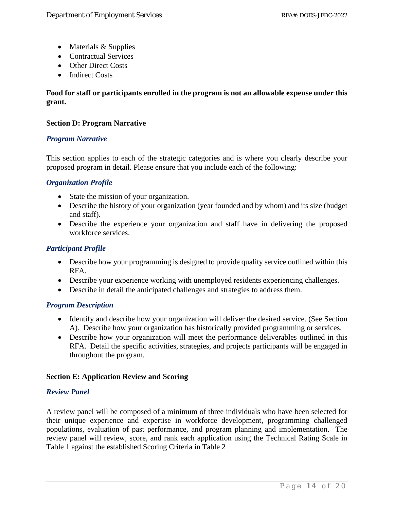- Materials & Supplies
- Contractual Services
- Other Direct Costs
- Indirect Costs

## **Food for staff or participants enrolled in the program is not an allowable expense under this grant.**

## <span id="page-14-0"></span>**Section D: Program Narrative**

## <span id="page-14-1"></span>*Program Narrative*

This section applies to each of the strategic categories and is where you clearly describe your proposed program in detail. Please ensure that you include each of the following:

## <span id="page-14-2"></span>*Organization Profile*

- State the mission of your organization.
- Describe the history of your organization (year founded and by whom) and its size (budget and staff).
- Describe the experience your organization and staff have in delivering the proposed workforce services.

## <span id="page-14-3"></span>*Participant Profile*

- Describe how your programming is designed to provide quality service outlined within this RFA.
- Describe your experience working with unemployed residents experiencing challenges.
- Describe in detail the anticipated challenges and strategies to address them.

#### <span id="page-14-4"></span>*Program Description*

- Identify and describe how your organization will deliver the desired service. (See Section A). Describe how your organization has historically provided programming or services.
- Describe how your organization will meet the performance deliverables outlined in this RFA. Detail the specific activities, strategies, and projects participants will be engaged in throughout the program.

#### <span id="page-14-6"></span><span id="page-14-5"></span>**Section E: Application Review and Scoring**

#### *Review Panel*

A review panel will be composed of a minimum of three individuals who have been selected for their unique experience and expertise in workforce development, programming challenged populations, evaluation of past performance, and program planning and implementation. The review panel will review, score, and rank each application using the Technical Rating Scale in Table 1 against the established Scoring Criteria in Table 2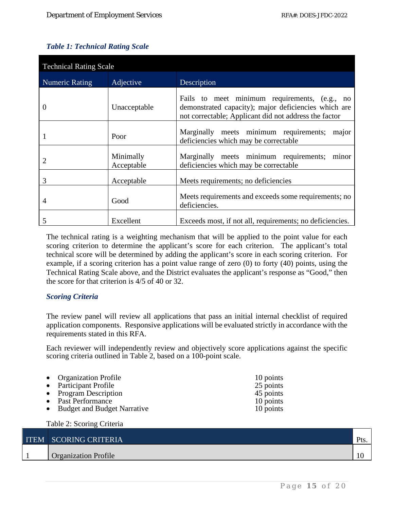## <span id="page-15-0"></span>*Table 1: Technical Rating Scale*

| <b>Technical Rating Scale</b> |                         |                                                                                                                                                                |  |  |
|-------------------------------|-------------------------|----------------------------------------------------------------------------------------------------------------------------------------------------------------|--|--|
| <b>Numeric Rating</b>         | Adjective               | Description                                                                                                                                                    |  |  |
| $\theta$                      | Unacceptable            | Fails to meet minimum requirements, (e.g., no<br>demonstrated capacity); major deficiencies which are<br>not correctable; Applicant did not address the factor |  |  |
|                               | Poor                    | Marginally meets minimum requirements;<br>major<br>deficiencies which may be correctable                                                                       |  |  |
| 2                             | Minimally<br>Acceptable | Marginally meets minimum requirements;<br>minor<br>deficiencies which may be correctable                                                                       |  |  |
| 3                             | Acceptable              | Meets requirements; no deficiencies                                                                                                                            |  |  |
| 4                             | Good                    | Meets requirements and exceeds some requirements; no<br>deficiencies.                                                                                          |  |  |
| 5                             | Excellent               | Exceeds most, if not all, requirements; no deficiencies.                                                                                                       |  |  |

The technical rating is a weighting mechanism that will be applied to the point value for each scoring criterion to determine the applicant's score for each criterion. The applicant's total technical score will be determined by adding the applicant's score in each scoring criterion. For example, if a scoring criterion has a point value range of zero (0) to forty (40) points, using the Technical Rating Scale above, and the District evaluates the applicant's response as "Good," then the score for that criterion is 4/5 of 40 or 32.

## <span id="page-15-1"></span>*Scoring Criteria*

Table 2: Scoring Criteria

The review panel will review all applications that pass an initial internal checklist of required application components. Responsive applications will be evaluated strictly in accordance with the requirements stated in this RFA.

Each reviewer will independently review and objectively score applications against the specific scoring criteria outlined in Table 2, based on a 100-point scale.

| • Organization Profile        | 10 points |
|-------------------------------|-----------|
| • Participant Profile         | 25 points |
| • Program Description         | 45 points |
| • Past Performance            | 10 points |
| • Budget and Budget Narrative | 10 points |
|                               |           |

| ITEM SCORING CRITERIA       |  |
|-----------------------------|--|
| <b>Organization Profile</b> |  |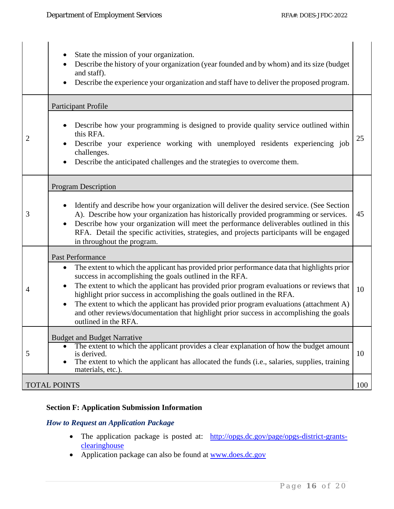|                | State the mission of your organization.<br>Describe the history of your organization (year founded and by whom) and its size (budget<br>and staff).<br>Describe the experience your organization and staff have to deliver the proposed program.                                                                                                                                                                                                                                                                                                                      |     |
|----------------|-----------------------------------------------------------------------------------------------------------------------------------------------------------------------------------------------------------------------------------------------------------------------------------------------------------------------------------------------------------------------------------------------------------------------------------------------------------------------------------------------------------------------------------------------------------------------|-----|
|                | <b>Participant Profile</b>                                                                                                                                                                                                                                                                                                                                                                                                                                                                                                                                            |     |
| $\overline{2}$ | Describe how your programming is designed to provide quality service outlined within<br>this RFA.<br>Describe your experience working with unemployed residents experiencing job<br>challenges.<br>Describe the anticipated challenges and the strategies to overcome them.                                                                                                                                                                                                                                                                                           | 25  |
|                | <b>Program Description</b>                                                                                                                                                                                                                                                                                                                                                                                                                                                                                                                                            |     |
| 3              | Identify and describe how your organization will deliver the desired service. (See Section<br>A). Describe how your organization has historically provided programming or services.<br>Describe how your organization will meet the performance deliverables outlined in this<br>RFA. Detail the specific activities, strategies, and projects participants will be engaged<br>in throughout the program.                                                                                                                                                             | 45  |
|                | Past Performance                                                                                                                                                                                                                                                                                                                                                                                                                                                                                                                                                      |     |
| $\overline{4}$ | The extent to which the applicant has provided prior performance data that highlights prior<br>$\bullet$<br>success in accomplishing the goals outlined in the RFA.<br>The extent to which the applicant has provided prior program evaluations or reviews that<br>highlight prior success in accomplishing the goals outlined in the RFA.<br>The extent to which the applicant has provided prior program evaluations (attachment A)<br>$\bullet$<br>and other reviews/documentation that highlight prior success in accomplishing the goals<br>outlined in the RFA. | 10  |
|                | <b>Budget and Budget Narrative</b>                                                                                                                                                                                                                                                                                                                                                                                                                                                                                                                                    |     |
| 5              | The extent to which the applicant provides a clear explanation of how the budget amount<br>is derived.<br>The extent to which the applicant has allocated the funds (i.e., salaries, supplies, training<br>materials, etc.).                                                                                                                                                                                                                                                                                                                                          | 10  |
|                | <b>TOTAL POINTS</b>                                                                                                                                                                                                                                                                                                                                                                                                                                                                                                                                                   | 100 |

## <span id="page-16-0"></span>**Section F: Application Submission Information**

## <span id="page-16-1"></span>*How to Request an Application Package*

- The application package is posted at: [http://opgs.dc.gov/page/opgs-district-grants](http://opgs.dc.gov/page/opgs-district-grants-clearinghouse)[clearinghouse](http://opgs.dc.gov/page/opgs-district-grants-clearinghouse)
- Application package can also be found at [www.does.dc.gov](http://www.does.dc.gov/)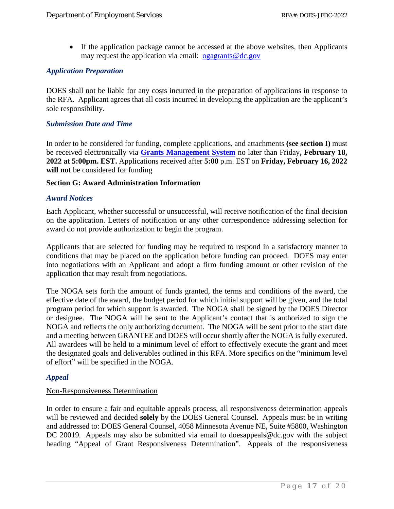• If the application package cannot be accessed at the above websites, then Applicants may request the application via email: [ogagrants@dc.gov](mailto:ogagrants@dc.gov)

## <span id="page-17-0"></span>*Application Preparation*

DOES shall not be liable for any costs incurred in the preparation of applications in response to the RFA. Applicant agrees that all costs incurred in developing the application are the applicant's sole responsibility.

#### <span id="page-17-1"></span>*Submission Date and Time*

In order to be considered for funding, complete applications, and attachments **(see section I)** must be received electronically via **Grants Management System** no later than Friday**, February 18, 2022 at 5:00pm. EST.** Applications received after **5:00** p.m. EST on **Friday, February 16, 2022** will not be considered for funding

#### <span id="page-17-2"></span>**Section G: Award Administration Information**

#### <span id="page-17-3"></span>*Award Notices*

Each Applicant, whether successful or unsuccessful, will receive notification of the final decision on the application. Letters of notification or any other correspondence addressing selection for award do not provide authorization to begin the program.

Applicants that are selected for funding may be required to respond in a satisfactory manner to conditions that may be placed on the application before funding can proceed. DOES may enter into negotiations with an Applicant and adopt a firm funding amount or other revision of the application that may result from negotiations.

The NOGA sets forth the amount of funds granted, the terms and conditions of the award, the effective date of the award, the budget period for which initial support will be given, and the total program period for which support is awarded. The NOGA shall be signed by the DOES Director or designee. The NOGA will be sent to the Applicant's contact that is authorized to sign the NOGA and reflects the only authorizing document. The NOGA will be sent prior to the start date and a meeting between GRANTEE and DOES will occur shortly after the NOGA is fully executed. All awardees will be held to a minimum level of effort to effectively execute the grant and meet the designated goals and deliverables outlined in this RFA. More specifics on the "minimum level of effort" will be specified in the NOGA.

#### <span id="page-17-4"></span>*Appeal*

#### Non-Responsiveness Determination

In order to ensure a fair and equitable appeals process, all responsiveness determination appeals will be reviewed and decided **solely** by the DOES General Counsel. Appeals must be in writing and addressed to: DOES General Counsel, 4058 Minnesota Avenue NE, Suite #5800, Washington DC 20019. Appeals may also be submitted via email to doesappeals@dc.gov with the subject heading "Appeal of Grant Responsiveness Determination". Appeals of the responsiveness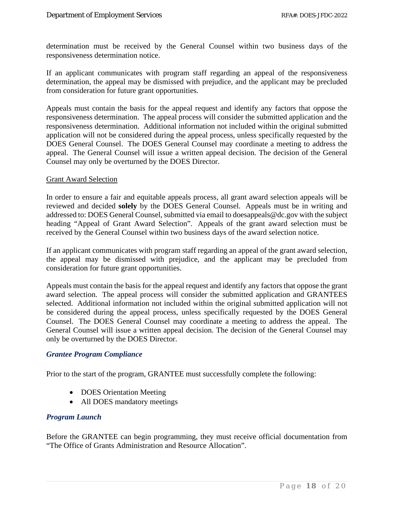determination must be received by the General Counsel within two business days of the responsiveness determination notice.

If an applicant communicates with program staff regarding an appeal of the responsiveness determination, the appeal may be dismissed with prejudice, and the applicant may be precluded from consideration for future grant opportunities.

Appeals must contain the basis for the appeal request and identify any factors that oppose the responsiveness determination. The appeal process will consider the submitted application and the responsiveness determination. Additional information not included within the original submitted application will not be considered during the appeal process, unless specifically requested by the DOES General Counsel. The DOES General Counsel may coordinate a meeting to address the appeal. The General Counsel will issue a written appeal decision. The decision of the General Counsel may only be overturned by the DOES Director.

#### Grant Award Selection

In order to ensure a fair and equitable appeals process, all grant award selection appeals will be reviewed and decided **solely** by the DOES General Counsel. Appeals must be in writing and addressed to: DOES General Counsel, submitted via email to doesappeals@dc.gov with the subject heading "Appeal of Grant Award Selection". Appeals of the grant award selection must be received by the General Counsel within two business days of the award selection notice.

If an applicant communicates with program staff regarding an appeal of the grant award selection, the appeal may be dismissed with prejudice, and the applicant may be precluded from consideration for future grant opportunities.

Appeals must contain the basis for the appeal request and identify any factors that oppose the grant award selection. The appeal process will consider the submitted application and GRANTEES selected. Additional information not included within the original submitted application will not be considered during the appeal process, unless specifically requested by the DOES General Counsel. The DOES General Counsel may coordinate a meeting to address the appeal. The General Counsel will issue a written appeal decision. The decision of the General Counsel may only be overturned by the DOES Director.

#### <span id="page-18-0"></span>*Grantee Program Compliance*

Prior to the start of the program, GRANTEE must successfully complete the following:

- DOES Orientation Meeting
- All DOES mandatory meetings

#### <span id="page-18-1"></span>*Program Launch*

Before the GRANTEE can begin programming, they must receive official documentation from "The Office of Grants Administration and Resource Allocation".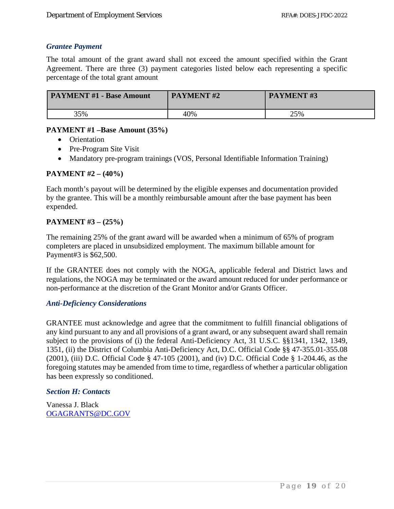## <span id="page-19-0"></span>*Grantee Payment*

The total amount of the grant award shall not exceed the amount specified within the Grant Agreement. There are three (3) payment categories listed below each representing a specific percentage of the total grant amount

| <b>PAYMENT #1 - Base Amount</b> | <b>PAYMENT#2</b> | <b>PAYMENT#3</b> |
|---------------------------------|------------------|------------------|
| 35%                             | 40%              | 25%              |

#### **PAYMENT #1 –Base Amount (35%)**

- Orientation
- Pre-Program Site Visit
- Mandatory pre-program trainings (VOS, Personal Identifiable Information Training)

## **PAYMENT #2 – (40%)**

Each month's payout will be determined by the eligible expenses and documentation provided by the grantee. This will be a monthly reimbursable amount after the base payment has been expended.

## **PAYMENT #3 – (25%)**

The remaining 25% of the grant award will be awarded when a minimum of 65% of program completers are placed in unsubsidized employment. The maximum billable amount for Payment#3 is \$62,500.

If the GRANTEE does not comply with the NOGA, applicable federal and District laws and regulations, the NOGA may be terminated or the award amount reduced for under performance or non-performance at the discretion of the Grant Monitor and/or Grants Officer.

#### <span id="page-19-1"></span>*Anti-Deficiency Considerations*

GRANTEE must acknowledge and agree that the commitment to fulfill financial obligations of any kind pursuant to any and all provisions of a grant award, or any subsequent award shall remain subject to the provisions of (i) the federal Anti-Deficiency Act, 31 U.S.C. §§1341, 1342, 1349, 1351, (ii) the District of Columbia Anti-Deficiency Act, D.C. Official Code §§ 47-355.01-355.08 (2001), (iii) D.C. Official Code § 47-105 (2001), and (iv) D.C. Official Code § 1-204.46, as the foregoing statutes may be amended from time to time, regardless of whether a particular obligation has been expressly so conditioned.

#### <span id="page-19-2"></span>*Section H: Contacts*

<span id="page-19-3"></span>Vanessa J. Black [OGAGRANTS@DC.GOV](mailto:OGAGRANTS@DC.GOV)